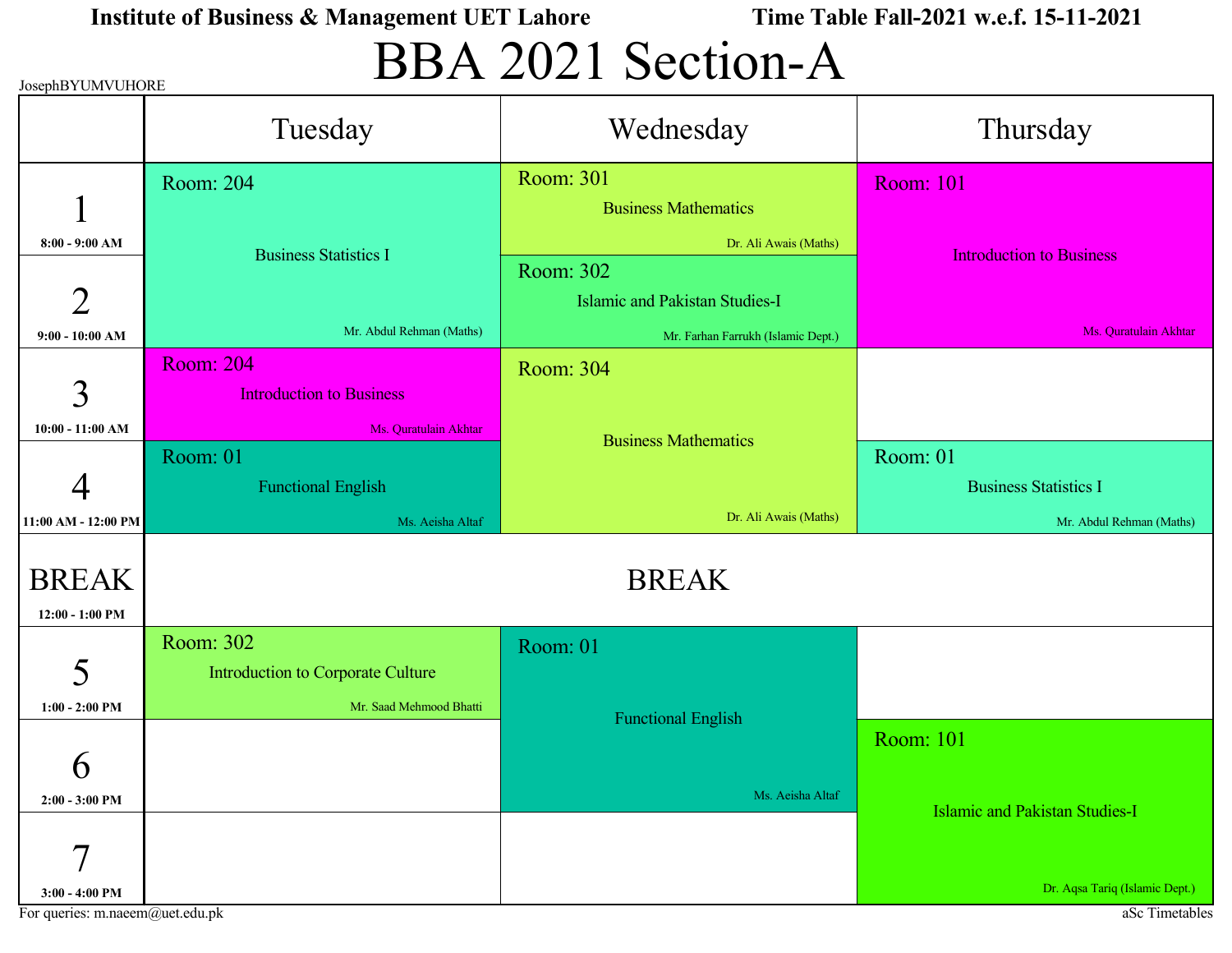# BBA 2021 Section-A

| JosephBYUMVUHORE                  |                                                     | $\bullet \bullet \bullet \bullet \bullet \bullet \bullet \bullet$ |                                       |  |
|-----------------------------------|-----------------------------------------------------|-------------------------------------------------------------------|---------------------------------------|--|
|                                   | Tuesday                                             | Wednesday                                                         | Thursday                              |  |
| 1                                 | Room: 204                                           | Room: 301<br><b>Business Mathematics</b>                          | <b>Room: 101</b>                      |  |
| $8:00 - 9:00$ AM                  | <b>Business Statistics I</b>                        | Dr. Ali Awais (Maths)                                             | <b>Introduction to Business</b>       |  |
| $\overline{2}$                    |                                                     | Room: 302<br><b>Islamic and Pakistan Studies-I</b>                |                                       |  |
| $9:00 - 10:00$ AM                 | Mr. Abdul Rehman (Maths)                            | Mr. Farhan Farrukh (Islamic Dept.)                                | Ms. Quratulain Akhtar                 |  |
| 3                                 | <b>Room: 204</b><br><b>Introduction to Business</b> | Room: 304                                                         |                                       |  |
| $10:00 - 11:00$ AM                | Ms. Quratulain Akhtar                               | <b>Business Mathematics</b>                                       |                                       |  |
|                                   | Room: 01                                            |                                                                   | Room: 01                              |  |
| 4                                 | <b>Functional English</b>                           |                                                                   | <b>Business Statistics I</b>          |  |
| 11:00 AM - 12:00 PM               | Ms. Aeisha Altaf                                    | Dr. Ali Awais (Maths)                                             | Mr. Abdul Rehman (Maths)              |  |
| <b>BREAK</b><br>$12:00 - 1:00$ PM |                                                     | <b>BREAK</b>                                                      |                                       |  |
|                                   | Room: 302                                           | Room: 01                                                          |                                       |  |
| 5                                 | Introduction to Corporate Culture                   |                                                                   |                                       |  |
| $1:00 - 2:00$ PM                  | Mr. Saad Mehmood Bhatti                             | <b>Functional English</b>                                         |                                       |  |
| $\boldsymbol{\mathsf{b}}$         |                                                     |                                                                   | <b>Room: 101</b>                      |  |
| $2:00 - 3:00$ PM                  |                                                     | Ms. Aeisha Altaf                                                  | <b>Islamic and Pakistan Studies-I</b> |  |
| $\tau$                            |                                                     |                                                                   | Dr. Aqsa Tariq (Islamic Dept.)        |  |
| $3:00 - 4:00$ PM                  |                                                     |                                                                   |                                       |  |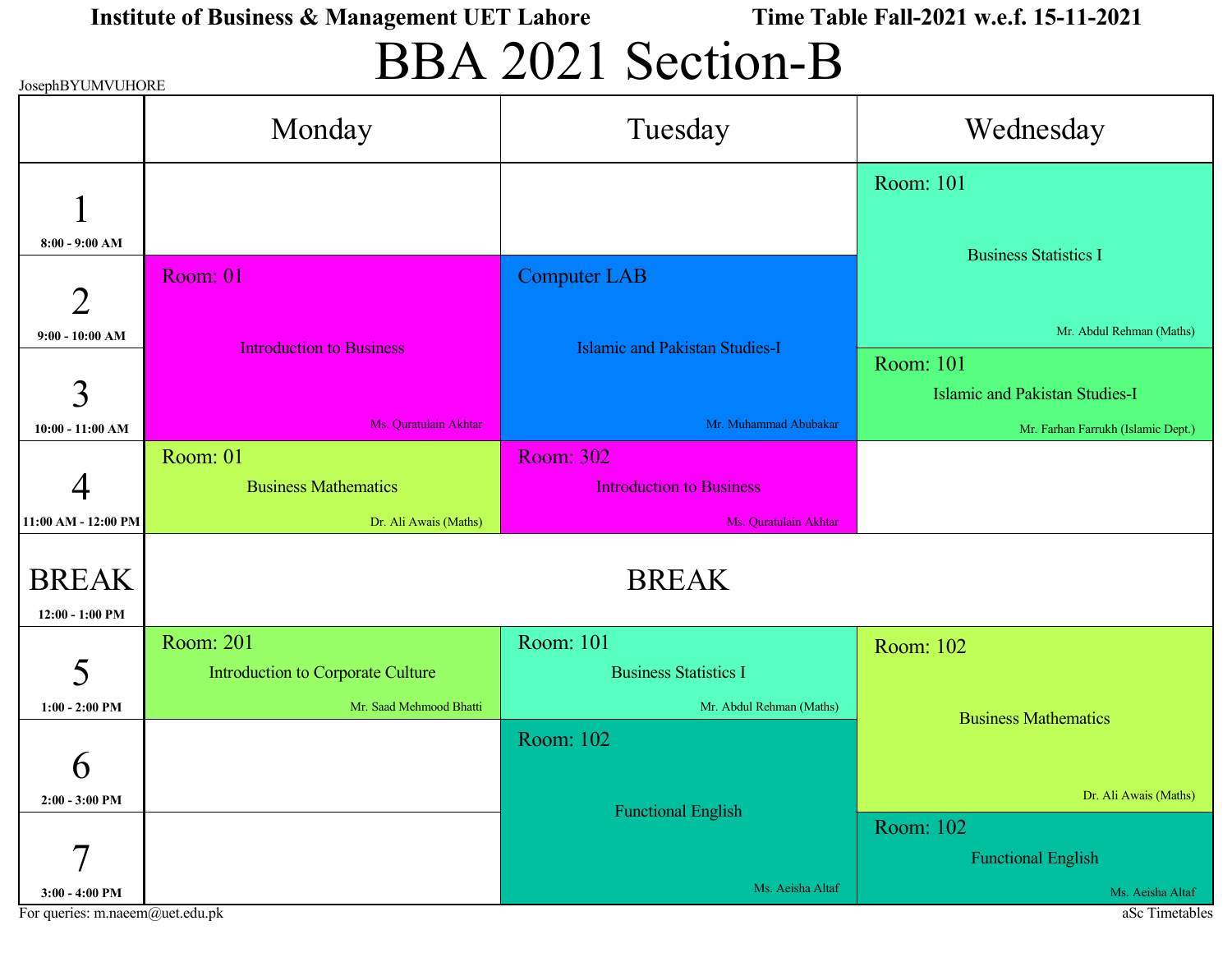## BBA 2021 Section-B

| JosephBYUMVUHORE |  |
|------------------|--|

| JOSEPIID I UNIVUTURE | Monday                            | Tuesday                               | Wednesday                             |  |
|----------------------|-----------------------------------|---------------------------------------|---------------------------------------|--|
|                      |                                   |                                       | Room: 101                             |  |
| $8:00 - 9:00 AM$     |                                   |                                       | <b>Business Statistics I</b>          |  |
| $\overline{2}$       | Room: 01                          | <b>Computer LAB</b>                   |                                       |  |
| $9:00 - 10:00$ AM    | <b>Introduction to Business</b>   | <b>Islamic and Pakistan Studies-I</b> | Mr. Abdul Rehman (Maths)              |  |
|                      |                                   |                                       | Room: 101                             |  |
| 3                    |                                   |                                       | <b>Islamic and Pakistan Studies-I</b> |  |
| $10:00 - 11:00$ AM   | Ms. Quratulain Akhtar             | Mr. Muhammad Abubakar                 | Mr. Farhan Farrukh (Islamic Dept.)    |  |
|                      | Room: 01                          | <b>Room: 302</b>                      |                                       |  |
|                      | <b>Business Mathematics</b>       | <b>Introduction to Business</b>       |                                       |  |
| 11:00 AM - 12:00 PM  | Dr. Ali Awais (Maths)             | Ms. Quratulain Akhtar                 |                                       |  |
| <b>BREAK</b>         | <b>BREAK</b>                      |                                       |                                       |  |
|                      |                                   |                                       |                                       |  |
| 12:00 - 1:00 PM      |                                   |                                       |                                       |  |
|                      | Room: 201                         | Room: 101                             | Room: 102                             |  |
| 5                    | Introduction to Corporate Culture | <b>Business Statistics I</b>          |                                       |  |
| $1:00 - 2:00$ PM     | Mr. Saad Mehmood Bhatti           | Mr. Abdul Rehman (Maths)              |                                       |  |
|                      |                                   | Room: 102                             | <b>Business Mathematics</b>           |  |
| Ò                    |                                   |                                       |                                       |  |
| $2:00 - 3:00$ PM     |                                   |                                       | Dr. Ali Awais (Maths)                 |  |
|                      |                                   | <b>Functional English</b>             | Room: 102                             |  |
| $\mathcal{I}$        |                                   |                                       | <b>Functional English</b>             |  |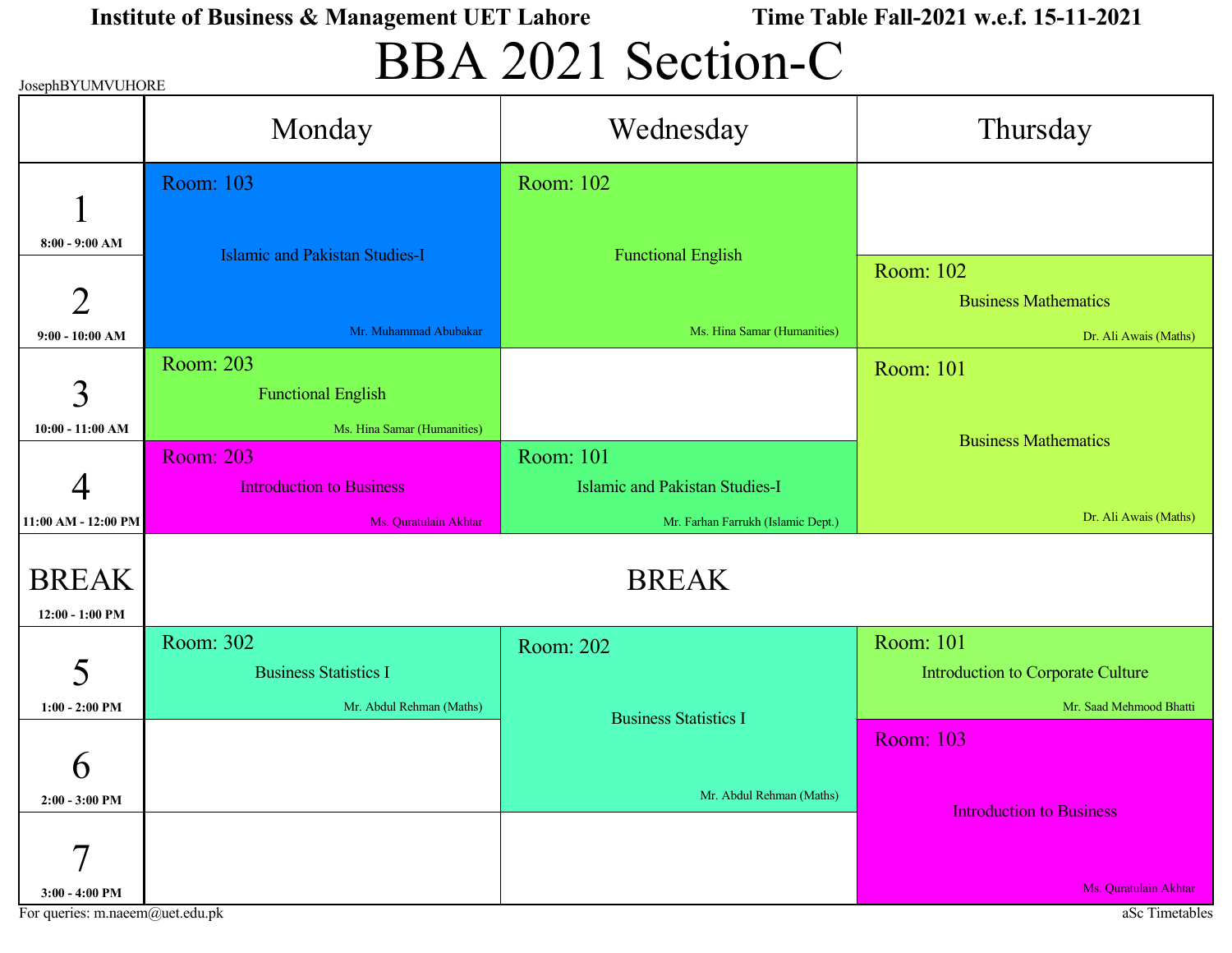# BBA 2021 Section-C

| JosephBYUMVUHORE    |                                       |                                       |                                   |
|---------------------|---------------------------------------|---------------------------------------|-----------------------------------|
|                     | Monday                                | Wednesday                             | Thursday                          |
|                     | Room: 103                             | Room: 102                             |                                   |
| $8:00 - 9:00$ AM    | <b>Islamic and Pakistan Studies-I</b> | <b>Functional English</b>             |                                   |
|                     |                                       |                                       | Room: 102                         |
| $\overline{2}$      |                                       |                                       | <b>Business Mathematics</b>       |
| $9:00 - 10:00$ AM   | Mr. Muhammad Abubakar                 | Ms. Hina Samar (Humanities)           | Dr. Ali Awais (Maths)             |
|                     | Room: 203                             |                                       | <b>Room: 101</b>                  |
| 3                   | <b>Functional English</b>             |                                       |                                   |
| $10:00 - 11:00$ AM  | Ms. Hina Samar (Humanities)           |                                       |                                   |
|                     | <b>Room: 203</b>                      | Room: 101                             | <b>Business Mathematics</b>       |
|                     | <b>Introduction to Business</b>       | <b>Islamic and Pakistan Studies-I</b> |                                   |
| 11:00 AM - 12:00 PM | Ms. Quratulain Akhtar                 | Mr. Farhan Farrukh (Islamic Dept.)    | Dr. Ali Awais (Maths)             |
|                     |                                       |                                       |                                   |
| <b>BREAK</b>        |                                       | <b>BREAK</b>                          |                                   |
| 12:00 - 1:00 PM     |                                       |                                       |                                   |
|                     | Room: 302                             | Room: 202                             | Room: 101                         |
| 5                   | <b>Business Statistics I</b>          |                                       | Introduction to Corporate Culture |
| $1:00 - 2:00$ PM    | Mr. Abdul Rehman (Maths)              | <b>Business Statistics I</b>          | Mr. Saad Mehmood Bhatti           |
|                     |                                       |                                       | <b>Room: 103</b>                  |
| 6                   |                                       |                                       |                                   |
| $2:00 - 3:00$ PM    |                                       | Mr. Abdul Rehman (Maths)              |                                   |
|                     |                                       |                                       | <b>Introduction to Business</b>   |
| 7                   |                                       |                                       |                                   |
|                     |                                       |                                       |                                   |

For queries: m.naeem@uet.edu.pk aSc Timetables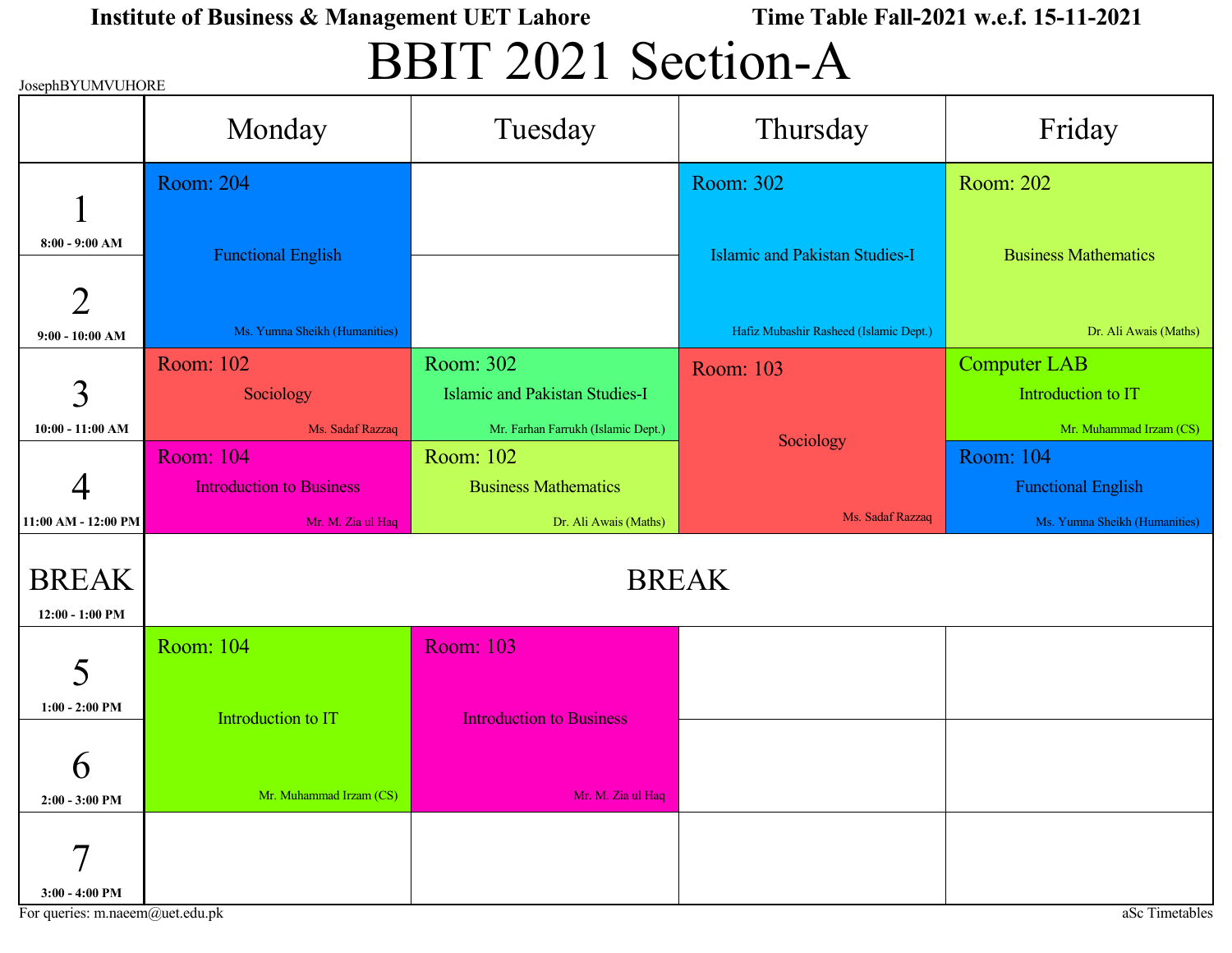## BBIT 2021 Section-A

| <b>JosephBYUMVUHORE</b>             |                                 |                                       |                                        |                               |
|-------------------------------------|---------------------------------|---------------------------------------|----------------------------------------|-------------------------------|
|                                     | Monday                          | Tuesday                               | Thursday                               | Friday                        |
|                                     | <b>Room: 204</b>                |                                       | Room: 302                              | Room: 202                     |
| $8:00 - 9:00$ AM                    | <b>Functional English</b>       |                                       | <b>Islamic and Pakistan Studies-I</b>  | <b>Business Mathematics</b>   |
| $\overline{2}$<br>$9:00 - 10:00$ AM | Ms. Yumna Sheikh (Humanities)   |                                       | Hafiz Mubashir Rasheed (Islamic Dept.) | Dr. Ali Awais (Maths)         |
|                                     |                                 |                                       |                                        |                               |
|                                     | Room: 102                       | Room: 302                             | Room: 103                              | <b>Computer LAB</b>           |
| 3                                   | Sociology                       | <b>Islamic and Pakistan Studies-I</b> |                                        | Introduction to IT            |
| $10:00 - 11:00$ AM                  | Ms. Sadaf Razzaq                | Mr. Farhan Farrukh (Islamic Dept.)    |                                        | Mr. Muhammad Irzam (CS)       |
|                                     | <b>Room: 104</b>                | Room: 102                             | Sociology                              | <b>Room: 104</b>              |
|                                     | <b>Introduction to Business</b> | <b>Business Mathematics</b>           |                                        | <b>Functional English</b>     |
| 11:00 AM - 12:00 PM                 | Mr. M. Zia ul Haq               | Dr. Ali Awais (Maths)                 | Ms. Sadaf Razzaq                       | Ms. Yumna Sheikh (Humanities) |
|                                     |                                 |                                       |                                        |                               |
| <b>BREAK</b>                        | <b>BREAK</b>                    |                                       |                                        |                               |
| 12:00 - 1:00 PM                     |                                 |                                       |                                        |                               |
|                                     |                                 |                                       |                                        |                               |
| 5                                   | Room: 104                       | <b>Room: 103</b>                      |                                        |                               |
| $1:00 - 2:00$ PM                    | Introduction to IT              | <b>Introduction to Business</b>       |                                        |                               |
| $\boldsymbol{\mathsf{O}}$           |                                 |                                       |                                        |                               |
| $2:00 - 3:00$ PM                    | Mr. Muhammad Irzam (CS)         | Mr. M. Zia ul Haq                     |                                        |                               |
| $\tau$<br>$3:00 - 4:00$ PM          |                                 |                                       |                                        |                               |

JosephBYUMVUHORE